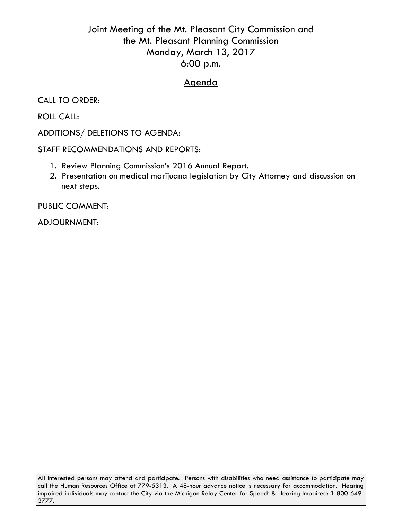## Joint Meeting of the Mt. Pleasant City Commission and the Mt. Pleasant Planning Commission Monday, March 13, 2017 6:00 p.m.

## Agenda

CALL TO ORDER:

ROLL CALL:

ADDITIONS/ DELETIONS TO AGENDA:

STAFF RECOMMENDATIONS AND REPORTS:

- 1. Review Planning Commission's 2016 Annual Report.
- 2. Presentation on medical marijuana legislation by City Attorney and discussion on next steps.

PUBLIC COMMENT:

ADJOURNMENT:

All interested persons may attend and participate. Persons with disabilities who need assistance to participate may call the Human Resources Office at 779-5313. A 48-hour advance notice is necessary for accommodation. Hearing impaired individuals may contact the City via the Michigan Relay Center for Speech & Hearing Impaired: 1-800-649- 3777.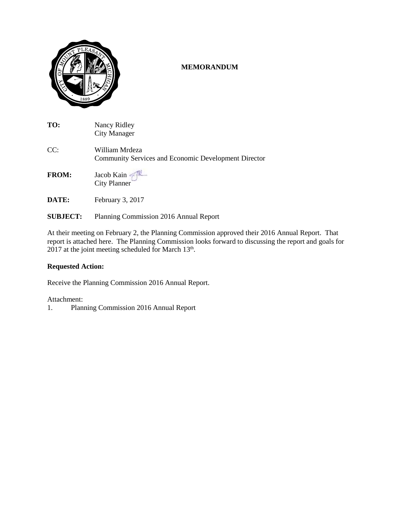

#### **MEMORANDUM**

| TO:          | Nancy Ridley<br>City Manager                                                  |
|--------------|-------------------------------------------------------------------------------|
| CC:          | William Mrdeza<br><b>Community Services and Economic Development Director</b> |
| <b>FROM:</b> | Jacob Kain                                                                    |

- **DATE:** February 3, 2017
- **SUBJECT:** Planning Commission 2016 Annual Report

At their meeting on February 2, the Planning Commission approved their 2016 Annual Report. That report is attached here. The Planning Commission looks forward to discussing the report and goals for 2017 at the joint meeting scheduled for March 13<sup>th</sup>.

#### **Requested Action:**

Receive the Planning Commission 2016 Annual Report.

#### Attachment:

1. Planning Commission 2016 Annual Report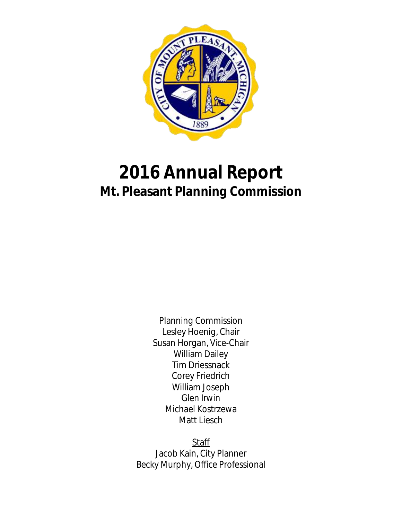

# **2016 Annual Report Mt. Pleasant Planning Commission**

Planning Commission Lesley Hoenig, Chair Susan Horgan, Vice-Chair William Dailey Tim Driessnack Corey Friedrich William Joseph Glen Irwin Michael Kostrzewa Matt Liesch

**Staff** Jacob Kain, City Planner Becky Murphy, Office Professional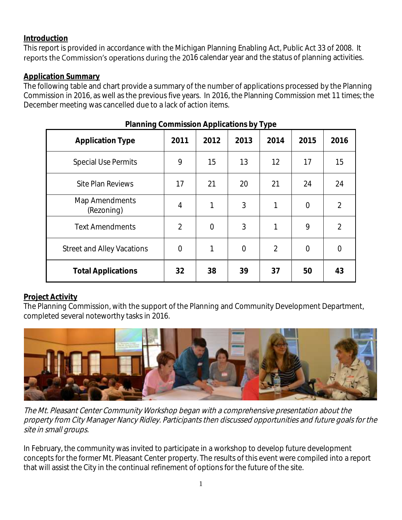## **Introduction**

This report is provided in accordance with the Michigan Planning Enabling Act, Public Act 33 of 2008. It reports the Commission's operations during the 2016 calendar year and the status of planning activities.

## **Application Summary**

The following table and chart provide a summary of the number of applications processed by the Planning Commission in 2016, as well as the previous five years. In 2016, the Planning Commission met 11 times; the December meeting was cancelled due to a lack of action items.

|                                   |                |            | $\mathbf{u} = \mathbf{u} - \mathbf{u}$ |                |                |                |
|-----------------------------------|----------------|------------|----------------------------------------|----------------|----------------|----------------|
| <b>Application Type</b>           | 2011           | 2012       | 2013                                   | 2014           | 2015           | 2016           |
| <b>Special Use Permits</b>        | 9              | 15         | 13                                     | 12             | 17             | 15             |
| <b>Site Plan Reviews</b>          | 17             | 21         | 20                                     | 21             | 24             | 24             |
| Map Amendments<br>(Rezoning)      | $\overline{4}$ | 1          | 3                                      | 1              | $\overline{0}$ | $\overline{2}$ |
| <b>Text Amendments</b>            | $\overline{2}$ | $\bigcirc$ | 3                                      | 1              | 9              | $\overline{2}$ |
| <b>Street and Alley Vacations</b> | $\overline{0}$ | 1          | $\overline{0}$                         | $\overline{2}$ | $\overline{0}$ | $\Omega$       |
| <b>Total Applications</b>         | 32             | 38         | 39                                     | 37             | 50             | 43             |

## **Planning Commission Applications by Type**

## **Project Activity**

The Planning Commission, with the support of the Planning and Community Development Department, completed several noteworthy tasks in 2016.



The Mt. Pleasant Center Community Workshop began with a comprehensive presentation about the property from City Manager Nancy Ridley. Participants then discussed opportunities and future goals for the site in small groups.

In February, the community was invited to participate in a workshop to develop future development concepts for the former Mt. Pleasant Center property. The results of this event were compiled into a report that will assist the City in the continual refinement of options for the future of the site.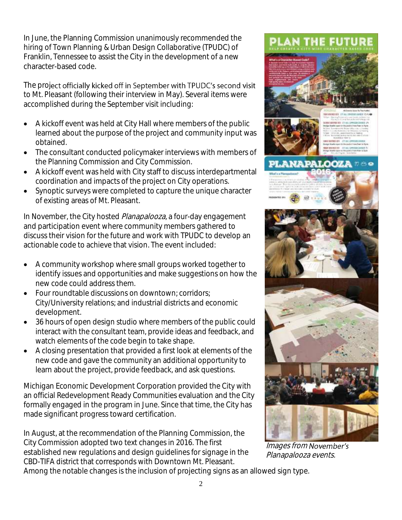In June, the Planning Commission unanimously recommended the hiring of Town Planning & Urban Design Collaborative (TPUDC) of Franklin, Tennessee to assist the City in the development of a new character-based code.

The project officially kicked off in September with TPUDC's second visit to Mt. Pleasant (following their interview in May). Several items were accomplished during the September visit including:

- A kickoff event was held at City Hall where members of the public learned about the purpose of the project and community input was obtained.
- The consultant conducted policymaker interviews with members of the Planning Commission and City Commission.
- A kickoff event was held with City staff to discuss interdepartmental coordination and impacts of the project on City operations.
- Synoptic surveys were completed to capture the unique character of existing areas of Mt. Pleasant.

In November, the City hosted Planapalooza, a four-day engagement and participation event where community members gathered to discuss their vision for the future and work with TPUDC to develop an actionable code to achieve that vision. The event included:

- A community workshop where small groups worked together to identify issues and opportunities and make suggestions on how the new code could address them.
- Four roundtable discussions on downtown; corridors; City/University relations; and industrial districts and economic development.
- 36 hours of open design studio where members of the public could interact with the consultant team, provide ideas and feedback, and watch elements of the code begin to take shape.
- A closing presentation that provided a first look at elements of the new code and gave the community an additional opportunity to learn about the project, provide feedback, and ask questions.

Michigan Economic Development Corporation provided the City with an official Redevelopment Ready Communities evaluation and the City formally engaged in the program in June. Since that time, the City has made significant progress toward certification.

In August, at the recommendation of the Planning Commission, the City Commission adopted two text changes in 2016. The first established new regulations and design guidelines for signage in the CBD-TIFA district that corresponds with Downtown Mt. Pleasant.



**PLAN THE FUTURE** 

Images from November's Planapalooza events.

Among the notable changes is the inclusion of projecting signs as an allowed sign type.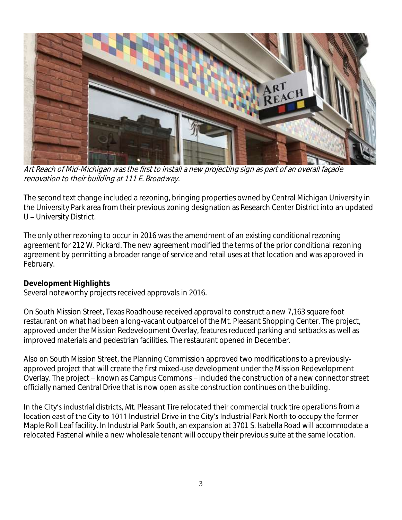

Art Reach of Mid-Michigan was the first to install a new projecting sign as part of an overall façade renovation to their building at 111 E. Broadway.

The second text change included a rezoning, bringing properties owned by Central Michigan University in the University Park area from their previous zoning designation as Research Center District into an updated U - University District.

The only other rezoning to occur in 2016 was the amendment of an existing conditional rezoning agreement for 212 W. Pickard. The new agreement modified the terms of the prior conditional rezoning agreement by permitting a broader range of service and retail uses at that location and was approved in February.

## **Development Highlights**

Several noteworthy projects received approvals in 2016.

On South Mission Street, Texas Roadhouse received approval to construct a new 7,163 square foot restaurant on what had been a long-vacant outparcel of the Mt. Pleasant Shopping Center. The project, approved under the Mission Redevelopment Overlay, features reduced parking and setbacks as well as improved materials and pedestrian facilities. The restaurant opened in December.

Also on South Mission Street, the Planning Commission approved two modifications to a previouslyapproved project that will create the first mixed-use development under the Mission Redevelopment Overlay. The project – known as Campus Commons – included the construction of a new connector street officially named Central Drive that is now open as site construction continues on the building.

In the City's industrial districts, Mt. Pleasant Tire relocated their commercial truck tire operations from a location east of the City to 1011 Industrial Drive in the City's Industrial Park North to occupy the former Maple Roll Leaf facility. In Industrial Park South, an expansion at 3701 S. Isabella Road will accommodate a relocated Fastenal while a new wholesale tenant will occupy their previous suite at the same location.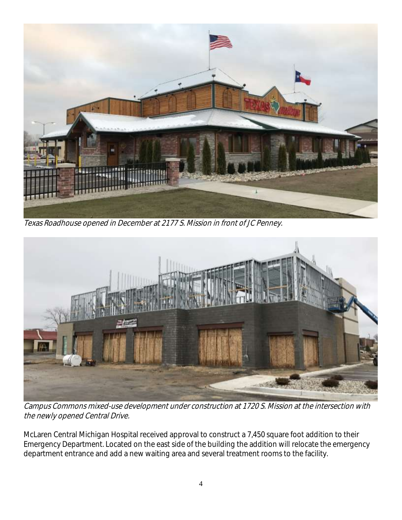

Texas Roadhouse opened in December at 2177 S. Mission in front of JC Penney.



Campus Commons mixed-use development under construction at 1720 S. Mission at the intersection with the newly opened Central Drive.

McLaren Central Michigan Hospital received approval to construct a 7,450 square foot addition to their Emergency Department. Located on the east side of the building the addition will relocate the emergency department entrance and add a new waiting area and several treatment rooms to the facility.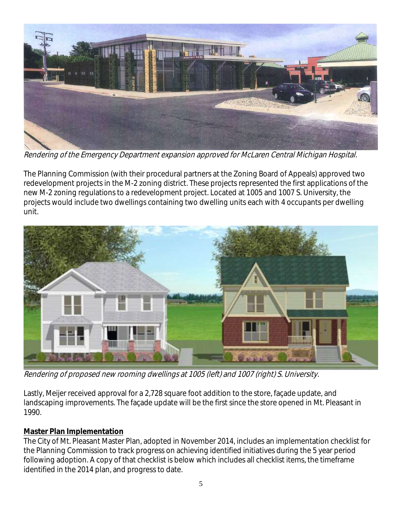

Rendering of the Emergency Department expansion approved for McLaren Central Michigan Hospital.

The Planning Commission (with their procedural partners at the Zoning Board of Appeals) approved two redevelopment projects in the M-2 zoning district. These projects represented the first applications of the new M-2 zoning regulations to a redevelopment project. Located at 1005 and 1007 S. University, the projects would include two dwellings containing two dwelling units each with 4 occupants per dwelling unit.



Rendering of proposed new rooming dwellings at 1005 (left) and 1007 (right) S. University.

Lastly, Meijer received approval for a 2,728 square foot addition to the store, façade update, and landscaping improvements. The façade update will be the first since the store opened in Mt. Pleasant in 1990.

#### **Master Plan Implementation**

The City of Mt. Pleasant Master Plan, adopted in November 2014, includes an implementation checklist for the Planning Commission to track progress on achieving identified initiatives during the 5 year period following adoption. A copy of that checklist is below which includes all checklist items, the timeframe identified in the 2014 plan, and progress to date.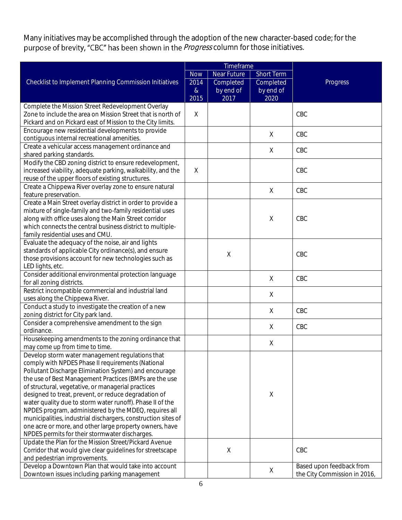Many initiatives may be accomplished through the adoption of the new character-based code; for the purpose of brevity, "CBC" has been shown in the *Progress* column for those initiatives.

|                                                                                                                         | Timeframe |             |             |                              |
|-------------------------------------------------------------------------------------------------------------------------|-----------|-------------|-------------|------------------------------|
| Checklist to Implement Planning Commission Initiatives                                                                  |           | Near Future | Short Term  |                              |
|                                                                                                                         |           | Completed   | Completed   | Progress                     |
|                                                                                                                         | $\alpha$  | by end of   | by end of   |                              |
|                                                                                                                         | 2015      | 2017        | 2020        |                              |
| Complete the Mission Street Redevelopment Overlay                                                                       |           |             |             |                              |
| Zone to include the area on Mission Street that is north of                                                             | $\times$  |             |             | CBC                          |
| Pickard and on Pickard east of Mission to the City limits.                                                              |           |             |             |                              |
| Encourage new residential developments to provide                                                                       |           |             | $\times$    | CBC                          |
| contiguous internal recreational amenities.                                                                             |           |             |             |                              |
| Create a vehicular access management ordinance and                                                                      |           |             | X           | CBC                          |
| shared parking standards.                                                                                               |           |             |             |                              |
| Modify the CBD zoning district to ensure redevelopment,                                                                 |           |             |             |                              |
| increased viability, adequate parking, walkability, and the                                                             | $\times$  |             |             | CBC                          |
| reuse of the upper floors of existing structures.                                                                       |           |             |             |                              |
| Create a Chippewa River overlay zone to ensure natural                                                                  |           |             | $\times$    | CBC                          |
| feature preservation.                                                                                                   |           |             |             |                              |
| Create a Main Street overlay district in order to provide a<br>mixture of single-family and two-family residential uses |           |             |             |                              |
| along with office uses along the Main Street corridor                                                                   |           |             | $\times$    | CBC                          |
| which connects the central business district to multiple-                                                               |           |             |             |                              |
| family residential uses and CMU.                                                                                        |           |             |             |                              |
| Evaluate the adequacy of the noise, air and lights                                                                      |           |             |             |                              |
| standards of applicable City ordinance(s), and ensure                                                                   |           |             |             |                              |
| those provisions account for new technologies such as                                                                   |           | $\mathsf X$ |             | CBC                          |
| LED lights, etc.                                                                                                        |           |             |             |                              |
| Consider additional environmental protection language                                                                   |           |             |             |                              |
| for all zoning districts.                                                                                               |           |             | X           | CBC                          |
| Restrict incompatible commercial and industrial land                                                                    |           |             | X           |                              |
| uses along the Chippewa River.                                                                                          |           |             |             |                              |
| Conduct a study to investigate the creation of a new                                                                    |           |             | X           | CBC                          |
| zoning district for City park land.                                                                                     |           |             |             |                              |
| Consider a comprehensive amendment to the sign                                                                          |           |             | $\times$    | CBC                          |
| ordinance.                                                                                                              |           |             |             |                              |
| Housekeeping amendments to the zoning ordinance that                                                                    |           |             | $\times$    |                              |
| may come up from time to time.                                                                                          |           |             |             |                              |
| Develop storm water management regulations that                                                                         |           |             |             |                              |
| comply with NPDES Phase II requirements (National                                                                       |           |             |             |                              |
| Pollutant Discharge Elimination System) and encourage<br>the use of Best Management Practices (BMPs are the use         |           |             |             |                              |
| of structural, vegetative, or managerial practices                                                                      |           |             |             |                              |
| designed to treat, prevent, or reduce degradation of                                                                    |           |             | $\mathsf X$ |                              |
| water quality due to storm water runoff). Phase II of the                                                               |           |             |             |                              |
| NPDES program, administered by the MDEQ, requires all                                                                   |           |             |             |                              |
| municipalities, industrial dischargers, construction sites of                                                           |           |             |             |                              |
| one acre or more, and other large property owners, have                                                                 |           |             |             |                              |
| NPDES permits for their stormwater discharges.                                                                          |           |             |             |                              |
| Update the Plan for the Mission Street/Pickard Avenue                                                                   |           |             |             |                              |
| Corridor that would give clear guidelines for streetscape                                                               |           | $\times$    |             | CBC                          |
| and pedestrian improvements.                                                                                            |           |             |             |                              |
| Develop a Downtown Plan that would take into account                                                                    |           |             |             | Based upon feedback from     |
| Downtown issues including parking management                                                                            |           |             | $\times$    | the City Commission in 2016, |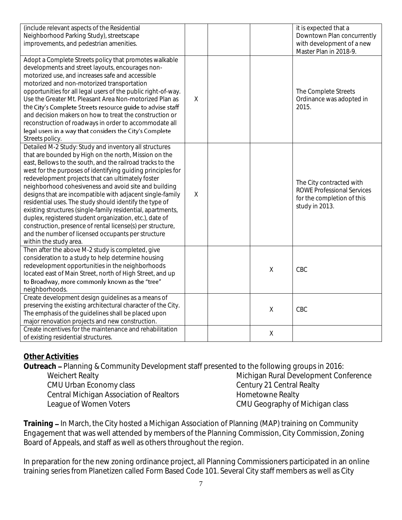| (include relevant aspects of the Residential<br>Neighborhood Parking Study), streetscape<br>improvements, and pedestrian amenities.                                                                                                                                                                                                                                                                                                                                                                                                                                                                                                                                                                                                                        |          |             | it is expected that a<br>Downtown Plan concurrently<br>with development of a new<br>Master Plan in 2018-9.    |
|------------------------------------------------------------------------------------------------------------------------------------------------------------------------------------------------------------------------------------------------------------------------------------------------------------------------------------------------------------------------------------------------------------------------------------------------------------------------------------------------------------------------------------------------------------------------------------------------------------------------------------------------------------------------------------------------------------------------------------------------------------|----------|-------------|---------------------------------------------------------------------------------------------------------------|
| Adopt a Complete Streets policy that promotes walkable<br>developments and street layouts, encourages non-<br>motorized use, and increases safe and accessible<br>motorized and non-motorized transportation<br>opportunities for all legal users of the public right-of-way.<br>Use the Greater Mt. Pleasant Area Non-motorized Plan as<br>the City's Complete Streets resource guide to advise staff<br>and decision makers on how to treat the construction or<br>reconstruction of roadways in order to accommodate all<br>legal users in a way that considers the City's Complete<br>Streets policy.                                                                                                                                                  | $\times$ |             | The Complete Streets<br>Ordinance was adopted in<br>2015.                                                     |
| Detailed M-2 Study: Study and inventory all structures<br>that are bounded by High on the north, Mission on the<br>east, Bellows to the south, and the railroad tracks to the<br>west for the purposes of identifying guiding principles for<br>redevelopment projects that can ultimately foster<br>neighborhood cohesiveness and avoid site and building<br>designs that are incompatible with adjacent single-family<br>residential uses. The study should identify the type of<br>existing structures (single-family residential, apartments,<br>duplex, registered student organization, etc.), date of<br>construction, presence of rental license(s) per structure,<br>and the number of licensed occupants per structure<br>within the study area. | $\times$ |             | The City contracted with<br><b>ROWE Professional Services</b><br>for the completion of this<br>study in 2013. |
| Then after the above M-2 study is completed, give<br>consideration to a study to help determine housing<br>redevelopment opportunities in the neighborhoods<br>located east of Main Street, north of High Street, and up<br>to Broadway, more commonly known as the "tree"<br>neighborhoods.                                                                                                                                                                                                                                                                                                                                                                                                                                                               |          | $\mathsf X$ | CBC                                                                                                           |
| Create development design guidelines as a means of<br>preserving the existing architectural character of the City.<br>The emphasis of the guidelines shall be placed upon<br>major renovation projects and new construction.                                                                                                                                                                                                                                                                                                                                                                                                                                                                                                                               |          | $\mathsf X$ | CBC                                                                                                           |
| Create incentives for the maintenance and rehabilitation<br>of existing residential structures.                                                                                                                                                                                                                                                                                                                                                                                                                                                                                                                                                                                                                                                            |          | $\mathsf X$ |                                                                                                               |

## **Other Activities**

**Outreach** Planning & Community Development staff presented to the following groups in 2016:

Weichert Realty CMU Urban Economy class Central Michigan Association of Realtors League of Women Voters

Michigan Rural Development Conference Century 21 Central Realty Hometowne Realty CMU Geography of Michigan class

**Training – In March, the City hosted a Michigan Association of Planning (MAP) training on Community** Engagement that was well attended by members of the Planning Commission, City Commission, Zoning Board of Appeals, and staff as well as others throughout the region.

In preparation for the new zoning ordinance project, all Planning Commissioners participated in an online training series from Planetizen called Form Based Code 101. Several City staff members as well as City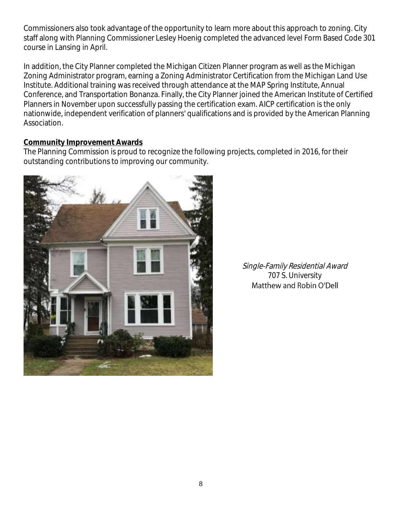Commissioners also took advantage of the opportunity to learn more about this approach to zoning. City staff along with Planning Commissioner Lesley Hoenig completed the advanced level Form Based Code 301 course in Lansing in April.

In addition, the City Planner completed the Michigan Citizen Planner program as well as the Michigan Zoning Administrator program, earning a Zoning Administrator Certification from the Michigan Land Use Institute. Additional training was received through attendance at the MAP Spring Institute, Annual Conference, and Transportation Bonanza. Finally, the City Planner joined the American Institute of Certified Planners in November upon successfully passing the certification exam. AICP certification is the only nationwide, independent verification of planners' qualifications and is provided by the American Planning Association.

#### **Community Improvement Awards**

The Planning Commission is proud to recognize the following projects, completed in 2016, for their outstanding contributions to improving our community.



Single-Family Residential Award 707 S. UniversityMatthew and Robin O'Dell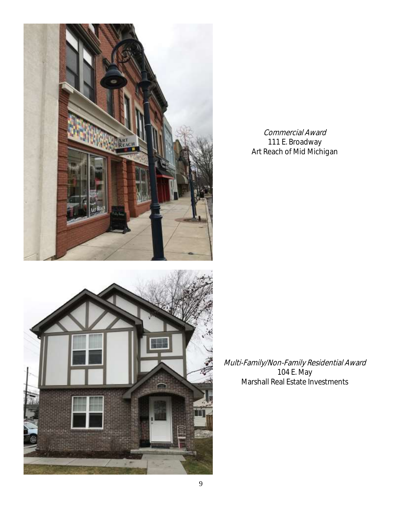



Commercial Award 111 E. Broadway Art Reach of Mid Michigan

Multi-Family/Non-Family Residential Award 104 E. May Marshall Real Estate Investments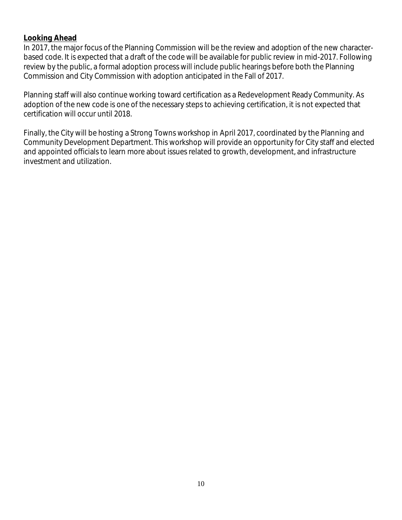#### **Looking Ahead**

In 2017, the major focus of the Planning Commission will be the review and adoption of the new characterbased code. It is expected that a draft of the code will be available for public review in mid-2017. Following review by the public, a formal adoption process will include public hearings before both the Planning Commission and City Commission with adoption anticipated in the Fall of 2017.

Planning staff will also continue working toward certification as a Redevelopment Ready Community. As adoption of the new code is one of the necessary steps to achieving certification, it is not expected that certification will occur until 2018.

Finally, the City will be hosting a Strong Towns workshop in April 2017, coordinated by the Planning and Community Development Department. This workshop will provide an opportunity for City staff and elected and appointed officials to learn more about issues related to growth, development, and infrastructure investment and utilization.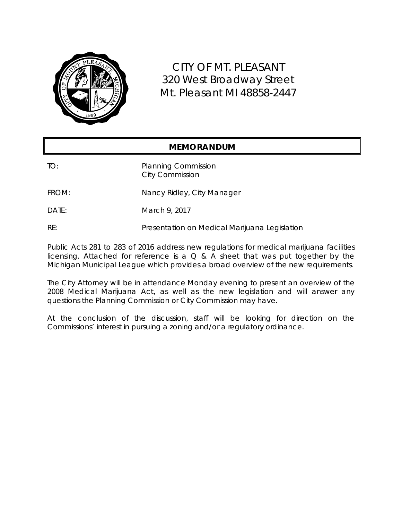

CITY OF MT. PLEASANT 320 West Broadway Street Mt. Pleasant MI 48858-2447

#### **MEMORANDUM**

TO: Planning Commission City Commission

FROM: Nancy Ridley, City Manager

DATE: March 9, 2017

RE: Presentation on Medical Marijuana Legislation

Public Acts 281 to 283 of 2016 address new regulations for medical marijuana facilities licensing. Attached for reference is a  $Q$  & A sheet that was put together by the Michigan Municipal League which provides a broad overview of the new requirements.

The City Attorney will be in attendance Monday evening to present an overview of the 2008 Medical Marijuana Act, as well as the new legislation and will answer any questions the Planning Commission or City Commission may have.

At the conclusion of the discussion, staff will be looking for direction on the Commissions' interest in pursuing a zoning and/or a regulatory ordinance.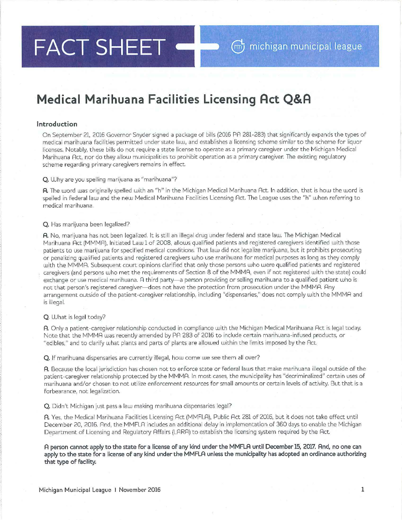#### FACT SHEET  $m$  michigan municipal league

## **Medical Marihuana Facilities Licensing Act Q&A**

#### **Introduction**

On September 21, 2016 Governor Snyder signed a package of bills (2016 PR 281-283) that significantly expands the types of medical marihuana facilities permitted under state law, and establishes a licensing scheme similar to the scheme for liquor licenses. Notably, these bills do not require a state license to operate as a primary caregiver under the Michigan Medical Marihuana Act, nor do they allow municipalities to prohibit operation as a primary caregiver. The existing regulatory scheme regarding primary caregivers remains in effect.

#### Q, Why are you spelling marijuana as "marihuana"?

A. The word was originally spelled with an "h" in the Michigan Medical Marihuana Act. In addition, that is how the word is spelled in federal law and the new Medical Marihuana Facilities Licensing Rct. The League uses the "h" when referring to medical marihuana.

#### Q. Has marijuana been legalized?

A. No, marijuana has not been legalized. It is still an illegal drug under federal and state law. The Michigan Medical Marihuana Act (MMMA), Initiated Law 1 of 2008, allows qualified patients and registered caregivers identified with those patients to use marijuana for specified medical conditions. That law did not legalize marijuana, but it prohibits prosecuting or penalizing qualified patients and registered caregivers who use marihuana for medical purposes as long as they comply with the MMMA. Subsequent court opinions clarified that only those persons who were qualified patients and registered caregivers (and persons who met the requirements of Section 8 of the MMMA, even if not registered with the state) could exchange or use medical marihuana. A third party-a person providing or selling marihuana to a qualified patient who is not that person's registered caregiver-does not have the protection from prosecution under the MMMR. Rny arrangement outside of the patient -caregiver relationship, including "dispensaries," does not comply with the MMMR and is illegal.

#### Q. What is legal today?

A. Only a patient-caregiver relationship conducted in compliance with the Michigan Medical Marihuana Rct is legal today. Note that the MMMA was recently amended by PA 283 of 2016 to include certain marihuana-infused products, or "edibles," and to clarify what plants and parts of plants are allowed within the limits imposed by the Rct.

Q. If marihuana dispensaries are currently illegal, how come we see them all over?

A. Because the local jurisdiction has chosen not to enforce state or federal laws that make marihuana illegal outside of the patient-caregiver relationship protected by the MMMA. In most cases, the municipality has "decriminalized" certain uses of marihuana and/or chosen to not utilize enforcement resources for small amounts or certain levels of activity. But that is a forbearance, not legalization.

Q. Didn't Michigan just pass a law making marihuana dispensaries legal?

A. Yes, the Medical Marihuana Facilities Licensing Act (MMFLA), Public Act 281 of 2016, but it does not take effect until December 20, 2016. And, the MMFLA includes an additional delay in implementation of 360 days to enable the Michigan Department of Licensing and Regulatory Affairs (LARA) to establish the licensing system required by the Act,

A person cannot apply to the state for a license of any kind under the MMFLA until December 15, 2017. And, no one can apply to the state for a license of any kind under the MMFLA unless the municipality has adopted an ordinance authorizing that type of facility.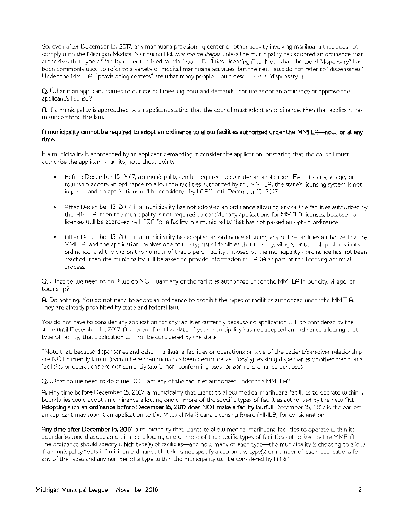So, even after December 15, 2017, any marihuana provisioning center or other activity involving marihuana that does not comply with the Michigan Medical Marihuana Act *will still be illegal,* unless the municipality has adopted an ordinance that authorizes that type of facility under the Medical Marihuana Facilities Licensing Act. (Note that the word "dispensary'' has been commonly used to refer to a variety of medical marihuana activities, but the new laws do not refer to "dispensaries." Under the MMFLA, "provisioning centers" are what many people would describe as a "dispensary.")

**Q,** What if an applicant comes to our council meeting now and demands that we adopt an ordinance or approve the applicant's license?

**A.** If a municipality is approached by an applicant stating that the council must adopt an ordinance, then that applicant has misunderstood the law.

#### A municipality cannot be required to adopt an ordinance to allow facilities authorized under the MMFLA--now, or at any **time.**

If a municipality is approached by an applicant demanding it consider the application, or stating that the council must authorize the applicant's facility, note these points:

- Before December 15, 2017, no municipality can be required to consider an application. Even if a city, village, or township adopts an ordinance to allow the facilities authorized by the MMFLA, the state's licensing system is not in place, and no applications will be considered by LARR until December 15, 2017.
- After December 15, 2017, if a municipality has not adopted an ordinance allowing any of the facilities authorized by the MM FLA, then the municipality is not required to consider any applications for MM FLA licenses, because no licenses will be approved by LARA for a facility in a municipality that has not passed an opt-in ordinance,
- After December 15, 2017, if a municipality has adopted an ordinance allowing any of the facilities authorized by the MMFLA, and the application involves one of the type(s) of facilities that the city, village, or township allows in its ordinance, and the cap on the number of that type of facility imposed by the municipality's ordinance has not been reached, then the municipality will be asked to provide information to LARA as part of the licensing approval process.

**Q.** What do we need to do if we do NOT want any of the facilities authorized under the MM FLA in our city, village, or township?

A. Do nothing. You do not need to adopt an ordinance to prohibit the types of facilities authorized under the MMFLA. They are already prohibited by state and federal law.

You do not have to consider any application for any facilities currently because no application will be considered by the state until December 15, 2017. And even after that date, if your municipality has not adopted an ordinance allowing that type of facility, that application will not be considered by the state.

\*Note that, because dispensaries and other marihuana facilities or operations outside of the patient/caregiver relationship are NOT currently lawful (even where marihuana has been decriminalized locally), existing dispensaries or other marihuana facilities or operations are not currently lawful non-conforming uses for zoning ordinance purposes,

**Q.** What do we need to do if we DO want any of the facilities authorized under the MMFLA?

**A.** Any time before December 15, 2017, a municipality that wants to allow medical marihuana facilities to operate within its boundaries could adopt an ordinance allowing one or more of the specific types of facilities authorized by the new Act. Adopting such an ordinance before December 15, 2017 does NOT make a facility lawfull December 15, 2017 is the earliest an applicant may submit an application to the Medical Marihuana Licensing Board (MMLB) for consideration.

**Any time after December 15, 2017,** a municipality that wants to allow medical marihuana facilities to operate within its boundaries would adopt an ordinance allowing one or more of the specific types of facilities authorized by the MM FLA. The ordinance should specify which type(s) of facilities—and how many of each type—the municipality is choosing to allow. If a municipality "opts in" with an ordinance that does not specify a cap on the type(s) or number of each, applications for any of the types and any number of a type within the municipality will be considered by LARR.